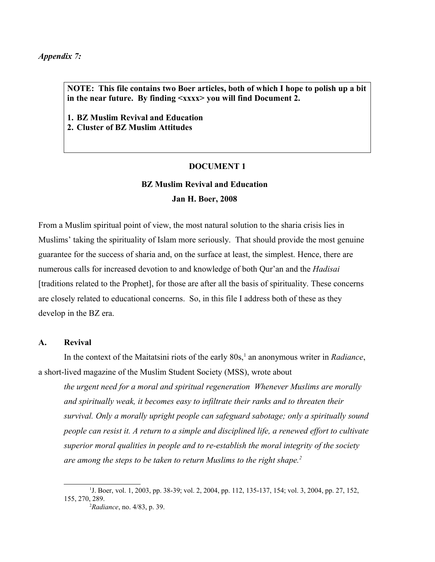*Appendix 7:*

**NOTE: This file contains two Boer articles, both of which I hope to polish up a bit in the near future. By finding <xxxx> you will find Document 2.**

**1. BZ Muslim Revival and Education 2. Cluster of BZ Muslim Attitudes**

## **DOCUMENT 1**

# **BZ Muslim Revival and Education Jan H. Boer, 2008**

From a Muslim spiritual point of view, the most natural solution to the sharia crisis lies in Muslims' taking the spirituality of Islam more seriously. That should provide the most genuine guarantee for the success of sharia and, on the surface at least, the simplest. Hence, there are numerous calls for increased devotion to and knowledge of both Qur'an and the *Hadisai* [traditions related to the Prophet], for those are after all the basis of spirituality. These concerns are closely related to educational concerns. So, in this file I address both of these as they develop in the BZ era.

## **A. Revival**

In the context of the Maitatsini riots of the early 80s,<sup>[1](#page-0-0)</sup> an anonymous writer in *Radiance*, a short-lived magazine of the Muslim Student Society (MSS), wrote about

*the urgent need for a moral and spiritual regeneration Whenever Muslims are morally and spiritually weak, it becomes easy to infiltrate their ranks and to threaten their survival. Only a morally upright people can safeguard sabotage; only a spiritually sound people can resist it. A return to a simple and disciplined life, a renewed effort to cultivate superior moral qualities in people and to re-establish the moral integrity of the society are among the steps to be taken to return Muslims to the right shape.[2](#page-0-1)*

<sup>&</sup>lt;sup>1</sup>J. Boer, vol. 1, 2003, pp. 38-39; vol. 2, 2004, pp. 112, 135-137, 154; vol. 3, 2004, pp. 27, 152, 155, 270, 289.

<span id="page-0-1"></span><span id="page-0-0"></span><sup>2</sup>*Radiance*, no. 4/83, p. 39.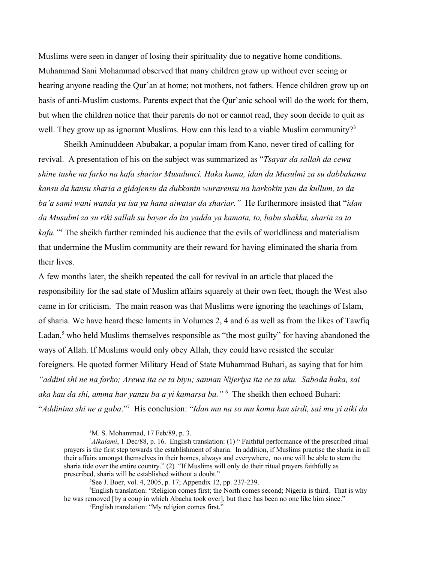Muslims were seen in danger of losing their spirituality due to negative home conditions. Muhammad Sani Mohammad observed that many children grow up without ever seeing or hearing anyone reading the Qur'an at home; not mothers, not fathers. Hence children grow up on basis of anti-Muslim customs. Parents expect that the Qur'anic school will do the work for them, but when the children notice that their parents do not or cannot read, they soon decide to quit as well. They grow up as ignorant Muslims. How can this lead to a viable Muslim community? $3$ 

Sheikh Aminuddeen Abubakar, a popular imam from Kano, never tired of calling for revival. A presentation of his on the subject was summarized as "*Tsayar da sallah da cewa shine tushe na farko na kafa shariar Musulunci. Haka kuma, idan da Musulmi za su dabbakawa kansu da kansu sharia a gidajensu da dukkanin wurarensu na harkokin yau da kullum, to da ba'a sami wani wanda ya isa ya hana aiwatar da shariar."* He furthermore insisted that "*idan da Musulmi za su riki sallah su bayar da ita yadda ya kamata, to, babu shakka, sharia za ta kafu."[4](#page-1-1)* The sheikh further reminded his audience that the evils of worldliness and materialism that undermine the Muslim community are their reward for having eliminated the sharia from their lives.

A few months later, the sheikh repeated the call for revival in an article that placed the responsibility for the sad state of Muslim affairs squarely at their own feet, though the West also came in for criticism. The main reason was that Muslims were ignoring the teachings of Islam, of sharia. We have heard these laments in Volumes 2, 4 and 6 as well as from the likes of Tawfiq Ladan,<sup>[5](#page-1-2)</sup> who held Muslims themselves responsible as "the most guilty" for having abandoned the ways of Allah. If Muslims would only obey Allah, they could have resisted the secular foreigners. He quoted former Military Head of State Muhammad Buhari, as saying that for him *"addini shi ne na farko; Arewa ita ce ta biyu; sannan Nijeriya ita ce ta uku. Saboda haka, sai aka kau da shi, amma har yanzu ba a yi kamarsa ba."* [6](#page-1-3) The sheikh then echoed Buhari: "*Addinina shi ne a gaba*."[7](#page-1-4) His conclusion: "*Idan mu na so mu koma kan sirdi, sai mu yi aiki da* 

<sup>6</sup>English translation: "Religion comes first; the North comes second; Nigeria is third. That is why he was removed [by a coup in which Abacha took over], but there has been no one like him since."

<span id="page-1-1"></span><span id="page-1-0"></span><sup>3</sup>M. S. Mohammad, 17 Feb/89, p. 3.

<sup>&</sup>lt;sup>4</sup>Alkalami, 1 Dec/88, p. 16. English translation: (1) "Faithful performance of the prescribed ritual prayers is the first step towards the establishment of sharia. In addition, if Muslims practise the sharia in all their affairs amongst themselves in their homes, always and everywhere, no one will be able to stem the sharia tide over the entire country." (2) "If Muslims will only do their ritual prayers faithfully as prescribed, sharia will be established without a doubt."

<span id="page-1-3"></span><span id="page-1-2"></span><sup>5</sup>See J. Boer, vol. 4, 2005, p. 17; Appendix 12, pp. 237-239.

<span id="page-1-4"></span><sup>7</sup>English translation: "My religion comes first."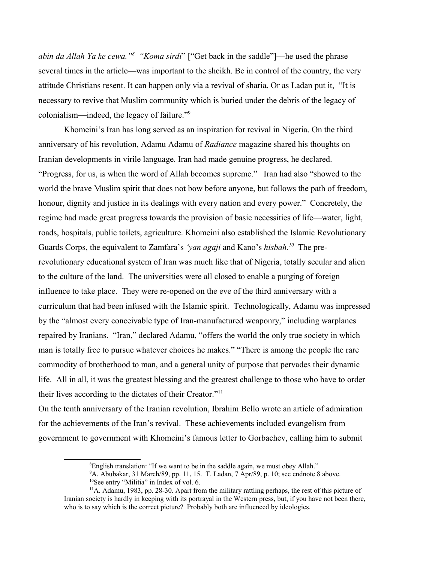*abin da Allah Ya ke cewa."[8](#page-2-0) "Koma sirdi*" ["Get back in the saddle"]—he used the phrase several times in the article—was important to the sheikh. Be in control of the country, the very attitude Christians resent. It can happen only via a revival of sharia. Or as Ladan put it, "It is necessary to revive that Muslim community which is buried under the debris of the legacy of colonialism—indeed, the legacy of failure."[9](#page-2-1)

Khomeini's Iran has long served as an inspiration for revival in Nigeria. On the third anniversary of his revolution, Adamu Adamu of *Radiance* magazine shared his thoughts on Iranian developments in virile language. Iran had made genuine progress, he declared. "Progress, for us, is when the word of Allah becomes supreme." Iran had also "showed to the world the brave Muslim spirit that does not bow before anyone, but follows the path of freedom, honour, dignity and justice in its dealings with every nation and every power." Concretely, the regime had made great progress towards the provision of basic necessities of life—water, light, roads, hospitals, public toilets, agriculture. Khomeini also established the Islamic Revolutionary Guards Corps, the equivalent to Zamfara's *'yan agaji* and Kano's *hisbah*.<sup>[10](#page-2-2)</sup> The prerevolutionary educational system of Iran was much like that of Nigeria, totally secular and alien to the culture of the land. The universities were all closed to enable a purging of foreign influence to take place. They were re-opened on the eve of the third anniversary with a curriculum that had been infused with the Islamic spirit. Technologically, Adamu was impressed by the "almost every conceivable type of Iran-manufactured weaponry," including warplanes repaired by Iranians. "Iran," declared Adamu, "offers the world the only true society in which man is totally free to pursue whatever choices he makes." "There is among the people the rare commodity of brotherhood to man, and a general unity of purpose that pervades their dynamic life. All in all, it was the greatest blessing and the greatest challenge to those who have to order their lives according to the dictates of their Creator."[11](#page-2-3)

On the tenth anniversary of the Iranian revolution, Ibrahim Bello wrote an article of admiration for the achievements of the Iran's revival. These achievements included evangelism from government to government with Khomeini's famous letter to Gorbachev, calling him to submit

<span id="page-2-0"></span><sup>&</sup>lt;sup>8</sup>English translation: "If we want to be in the saddle again, we must obey Allah."

<span id="page-2-3"></span><span id="page-2-2"></span><span id="page-2-1"></span> $9A.$  Abubakar, 31 March/89, pp. 11, 15. T. Ladan, 7 Apr/89, p. 10; see endnote 8 above. <sup>10</sup>See entry "Militia" in Index of vol. 6.

 $11$ A. Adamu, 1983, pp. 28-30. Apart from the military rattling perhaps, the rest of this picture of Iranian society is hardly in keeping with its portrayal in the Western press, but, if you have not been there, who is to say which is the correct picture? Probably both are influenced by ideologies.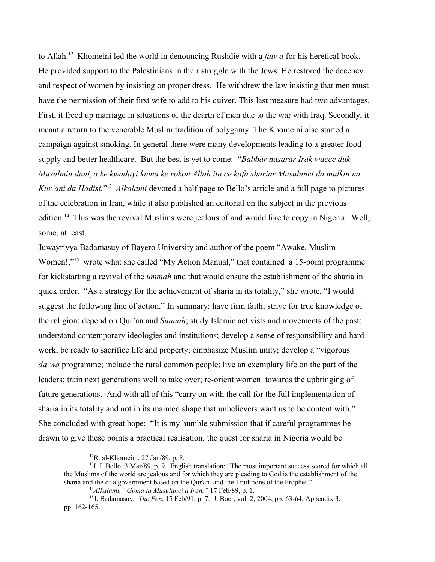to Allah.[12](#page-3-0) Khomeini led the world in denouncing Rushdie with a *fatwa* for his heretical book. He provided support to the Palestinians in their struggle with the Jews. He restored the decency and respect of women by insisting on proper dress. He withdrew the law insisting that men must have the permission of their first wife to add to his quiver. This last measure had two advantages. First, it freed up marriage in situations of the dearth of men due to the war with Iraq. Secondly, it meant a return to the venerable Muslim tradition of polygamy. The Khomeini also started a campaign against smoking. In general there were many developments leading to a greater food supply and better healthcare. But the best is yet to come: "*Babbar nasarar Irak wacce duk Musulmin duniya ke kwadayi kuma ke rokon Allah ita ce kafa shariar Musulunci da mulkin na Kur'ani da Hadisi.*" [13](#page-3-1) *Alkalami* devoted a half page to Bello's article and a full page to pictures of the celebration in Iran, while it also published an editorial on the subject in the previous edition.<sup>[14](#page-3-2)</sup> This was the revival Muslims were jealous of and would like to copy in Nigeria. Well, some, at least.

Juwayriyya Badamasuy of Bayero University and author of the poem "Awake, Muslim Women!,"<sup>[15](#page-3-3)</sup> wrote what she called "My Action Manual," that contained a 15-point programme for kickstarting a revival of the *ummah* and that would ensure the establishment of the sharia in quick order. "As a strategy for the achievement of sharia in its totality," she wrote, "I would suggest the following line of action." In summary: have firm faith; strive for true knowledge of the religion; depend on Qur'an and *Sunnah*; study Islamic activists and movements of the past; understand contemporary ideologies and institutions; develop a sense of responsibility and hard work; be ready to sacrifice life and property; emphasize Muslim unity; develop a "vigorous *da'wa* programme; include the rural common people; live an exemplary life on the part of the leaders; train next generations well to take over; re-orient women towards the upbringing of future generations. And with all of this "carry on with the call for the full implementation of sharia in its totality and not in its maimed shape that unbelievers want us to be content with." She concluded with great hope: "It is my humble submission that if careful programmes be drawn to give these points a practical realisation, the quest for sharia in Nigeria would be

<span id="page-3-1"></span><span id="page-3-0"></span> $12R$ . al-Khomeini, 27 Jan/89, p. 8.

<sup>&</sup>lt;sup>13</sup>I. I. Bello, 3 Mar/89, p. 9. English translation: "The most important success scored for which all the Muslims of the world are jealous and for which they are pleading to God is the establishment of the sharia and the of a government based on the Qur'an and the Traditions of the Prophet."

<span id="page-3-3"></span><span id="page-3-2"></span><sup>14</sup>*Alkalami, "Goma ta Musulunci a Iran,"* 17 Feb/89, p. 1.

<sup>15</sup>J. Badamasuy, *The Pen*, 15 Feb/91, p. 7. J. Boer, vol. 2, 2004, pp. 63-64, Appendix 3, pp. 162-165.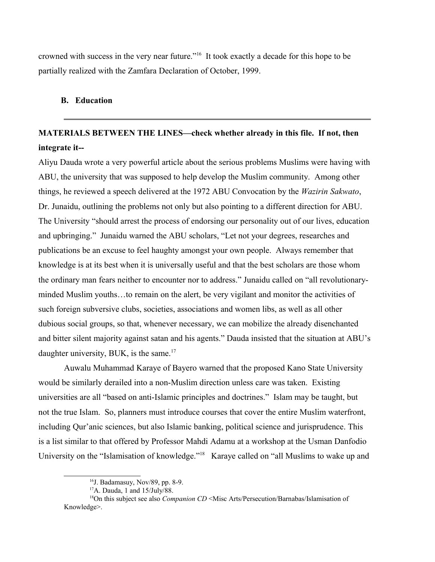crowned with success in the very near future."[16](#page-4-0) It took exactly a decade for this hope to be partially realized with the Zamfara Declaration of October, 1999.

## **B. Education**

# **MATERIALS BETWEEN THE LINES—check whether already in this file. If not, then integrate it--**

Aliyu Dauda wrote a very powerful article about the serious problems Muslims were having with ABU, the university that was supposed to help develop the Muslim community. Among other things, he reviewed a speech delivered at the 1972 ABU Convocation by the *Wazirin Sakwato*, Dr. Junaidu, outlining the problems not only but also pointing to a different direction for ABU. The University "should arrest the process of endorsing our personality out of our lives, education and upbringing." Junaidu warned the ABU scholars, "Let not your degrees, researches and publications be an excuse to feel haughty amongst your own people. Always remember that knowledge is at its best when it is universally useful and that the best scholars are those whom the ordinary man fears neither to encounter nor to address." Junaidu called on "all revolutionaryminded Muslim youths…to remain on the alert, be very vigilant and monitor the activities of such foreign subversive clubs, societies, associations and women libs, as well as all other dubious social groups, so that, whenever necessary, we can mobilize the already disenchanted and bitter silent majority against satan and his agents." Dauda insisted that the situation at ABU's daughter university, BUK, is the same.<sup>[17](#page-4-1)</sup>

Auwalu Muhammad Karaye of Bayero warned that the proposed Kano State University would be similarly derailed into a non-Muslim direction unless care was taken. Existing universities are all "based on anti-Islamic principles and doctrines." Islam may be taught, but not the true Islam. So, planners must introduce courses that cover the entire Muslim waterfront, including Qur'anic sciences, but also Islamic banking, political science and jurisprudence. This is a list similar to that offered by Professor Mahdi Adamu at a workshop at the Usman Danfodio University on the "Islamisation of knowledge."<sup>[18](#page-4-2)</sup> Karaye called on "all Muslims to wake up and

<span id="page-4-0"></span><sup>&</sup>lt;sup>16</sup>J. Badamasuy, Nov/89, pp. 8-9.

<span id="page-4-2"></span><span id="page-4-1"></span><sup>17</sup>A. Dauda, 1 and 15/July/88.

<sup>&</sup>lt;sup>18</sup>On this subject see also *Companion CD* <Misc Arts/Persecution/Barnabas/Islamisation of Knowledge>.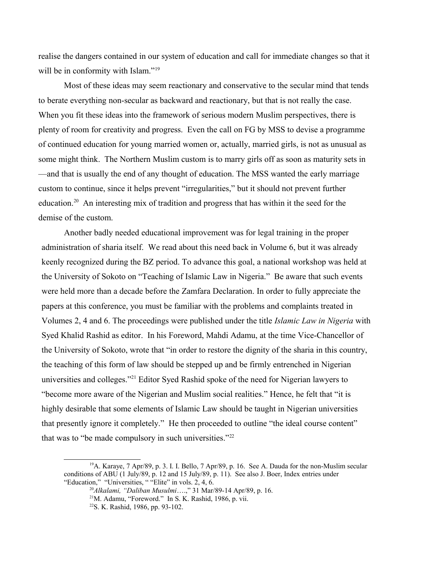realise the dangers contained in our system of education and call for immediate changes so that it will be in conformity with Islam."<sup>[19](#page-5-0)</sup>

Most of these ideas may seem reactionary and conservative to the secular mind that tends to berate everything non-secular as backward and reactionary, but that is not really the case. When you fit these ideas into the framework of serious modern Muslim perspectives, there is plenty of room for creativity and progress. Even the call on FG by MSS to devise a programme of continued education for young married women or, actually, married girls, is not as unusual as some might think. The Northern Muslim custom is to marry girls off as soon as maturity sets in —and that is usually the end of any thought of education. The MSS wanted the early marriage custom to continue, since it helps prevent "irregularities," but it should not prevent further education.[20](#page-5-1) An interesting mix of tradition and progress that has within it the seed for the demise of the custom.

Another badly needed educational improvement was for legal training in the proper administration of sharia itself. We read about this need back in Volume 6, but it was already keenly recognized during the BZ period. To advance this goal, a national workshop was held at the University of Sokoto on "Teaching of Islamic Law in Nigeria." Be aware that such events were held more than a decade before the Zamfara Declaration. In order to fully appreciate the papers at this conference, you must be familiar with the problems and complaints treated in Volumes 2, 4 and 6. The proceedings were published under the title *Islamic Law in Nigeria* with Syed Khalid Rashid as editor. In his Foreword, Mahdi Adamu, at the time Vice-Chancellor of the University of Sokoto, wrote that "in order to restore the dignity of the sharia in this country, the teaching of this form of law should be stepped up and be firmly entrenched in Nigerian universities and colleges."[21](#page-5-2) Editor Syed Rashid spoke of the need for Nigerian lawyers to "become more aware of the Nigerian and Muslim social realities." Hence, he felt that "it is highly desirable that some elements of Islamic Law should be taught in Nigerian universities that presently ignore it completely." He then proceeded to outline "the ideal course content" that was to "be made compulsory in such universities."<sup>[22](#page-5-3)</sup>

<sup>&</sup>lt;sup>19</sup>A. Karaye, 7 Apr/89, p. 3. I. I. Bello, 7 Apr/89, p. 16. See A. Dauda for the non-Muslim secular conditions of ABU (1 July/89, p. 12 and 15 July/89, p. 11). See also J. Boer, Index entries under "Education," "Universities, " "Elite" in vols. 2, 4, 6.

<span id="page-5-1"></span><span id="page-5-0"></span><sup>20</sup>*Alkalami, "Daliban Musulmi*….," 31 Mar/89-14 Apr/89, p. 16.

<span id="page-5-2"></span><sup>21</sup>M. Adamu, "Foreword." In S. K. Rashid, 1986, p. vii.

<span id="page-5-3"></span><sup>22</sup>S. K. Rashid, 1986, pp. 93-102.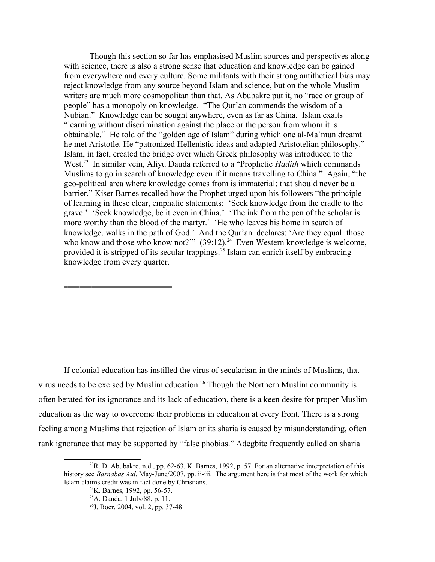Though this section so far has emphasised Muslim sources and perspectives along with science, there is also a strong sense that education and knowledge can be gained from everywhere and every culture. Some militants with their strong antithetical bias may reject knowledge from any source beyond Islam and science, but on the whole Muslim writers are much more cosmopolitan than that. As Abubakre put it, no "race or group of people" has a monopoly on knowledge. "The Qur'an commends the wisdom of a Nubian." Knowledge can be sought anywhere, even as far as China. Islam exalts "learning without discrimination against the place or the person from whom it is obtainable." He told of the "golden age of Islam" during which one al-Ma'mun dreamt he met Aristotle. He "patronized Hellenistic ideas and adapted Aristotelian philosophy." Islam, in fact, created the bridge over which Greek philosophy was introduced to the West.<sup>[23](#page-6-0)</sup> In similar vein, Aliyu Dauda referred to a "Prophetic *Hadith* which commands Muslims to go in search of knowledge even if it means travelling to China." Again, "the geo-political area where knowledge comes from is immaterial; that should never be a barrier." Kiser Barnes recalled how the Prophet urged upon his followers "the principle of learning in these clear, emphatic statements: 'Seek knowledge from the cradle to the grave.' 'Seek knowledge, be it even in China.' 'The ink from the pen of the scholar is more worthy than the blood of the martyr.' 'He who leaves his home in search of knowledge, walks in the path of God.' And the Qur'an declares: 'Are they equal: those who know and those who know not?"  $(39.12)$ .<sup>[24](#page-6-1)</sup> Even Western knowledge is welcome, provided it is stripped of its secular trappings.<sup>[25](#page-6-2)</sup> Islam can enrich itself by embracing knowledge from every quarter.

If colonial education has instilled the virus of secularism in the minds of Muslims, that virus needs to be excised by Muslim education.<sup>[26](#page-6-3)</sup> Though the Northern Muslim community is often berated for its ignorance and its lack of education, there is a keen desire for proper Muslim education as the way to overcome their problems in education at every front. There is a strong feeling among Muslims that rejection of Islam or its sharia is caused by misunderstanding, often rank ignorance that may be supported by "false phobias." Adegbite frequently called on sharia

===========================++++++

 $^{23}$ R. D. Abubakre, n.d., pp. 62-63. K. Barnes, 1992, p. 57. For an alternative interpretation of this history see *Barnabas Aid*, May-June/2007, pp. ii-iii. The argument here is that most of the work for which Islam claims credit was in fact done by Christians.

<span id="page-6-1"></span><span id="page-6-0"></span> $^{24}$ K. Barnes, 1992, pp. 56-57.

<span id="page-6-2"></span><sup>25</sup>A. Dauda, 1 July/88, p. 11.

<span id="page-6-3"></span><sup>26</sup>J. Boer, 2004, vol. 2, pp. 37-48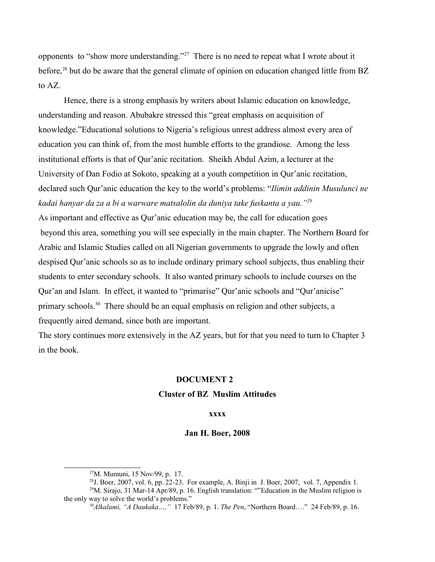opponents to "show more understanding."[27](#page-7-0) There is no need to repeat what I wrote about it before,<sup>[28](#page-7-1)</sup> but do be aware that the general climate of opinion on education changed little from BZ to AZ.

Hence, there is a strong emphasis by writers about Islamic education on knowledge, understanding and reason. Abubakre stressed this "great emphasis on acquisition of knowledge."Educational solutions to Nigeria's religious unrest address almost every area of education you can think of, from the most humble efforts to the grandiose. Among the less institutional efforts is that of Qur'anic recitation. Sheikh Abdul Azim, a lecturer at the University of Dan Fodio at Sokoto, speaking at a youth competition in Qur'anic recitation, declared such Qur'anic education the key to the world's problems: "*Ilimin addinin Musulunci ne kadai hanyar da za a bi a warware matsalolin da duniya take fuskanta a yau."[29](#page-7-2)* 

As important and effective as Qur'anic education may be, the call for education goes beyond this area, something you will see especially in the main chapter. The Northern Board for Arabic and Islamic Studies called on all Nigerian governments to upgrade the lowly and often despised Qur'anic schools so as to include ordinary primary school subjects, thus enabling their students to enter secondary schools. It also wanted primary schools to include courses on the Qur'an and Islam. In effect, it wanted to "primarise" Qur'anic schools and "Qur'anicise" primary schools.<sup>[30](#page-7-3)</sup> There should be an equal emphasis on religion and other subjects, a frequently aired demand, since both are important.

The story continues more extensively in the AZ years, but for that you need to turn to Chapter 3 in the book.

## **DOCUMENT 2**

# **Cluster of BZ Muslim Attitudes**

## **xxxx**

#### **Jan H. Boer, 2008**

<span id="page-7-2"></span><span id="page-7-1"></span><span id="page-7-0"></span><sup>27</sup>M. Mumuni, 15 Nov/99, p. 17.

 $^{28}$ J. Boer, 2007, vol. 6, pp. 22-23. For example, A. Binji in J. Boer, 2007, vol. 7, Appendix 1.  $^{29}$ M. Sirajo, 31 Mar-14 Apr/89, p. 16. English translation: ""Education in the Muslim religion is the only way to solve the world's problems."

<span id="page-7-3"></span><sup>30</sup>*Alkalami, "A Daukaka…,"* 17 Feb/89, p. 1. *The Pen*, "Northern Board…." 24 Feb/89, p. 16.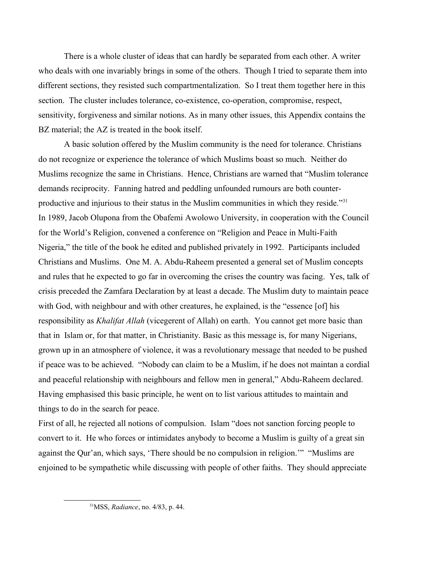There is a whole cluster of ideas that can hardly be separated from each other. A writer who deals with one invariably brings in some of the others. Though I tried to separate them into different sections, they resisted such compartmentalization. So I treat them together here in this section. The cluster includes tolerance, co-existence, co-operation, compromise, respect, sensitivity, forgiveness and similar notions. As in many other issues, this Appendix contains the BZ material; the AZ is treated in the book itself.

A basic solution offered by the Muslim community is the need for tolerance. Christians do not recognize or experience the tolerance of which Muslims boast so much. Neither do Muslims recognize the same in Christians. Hence, Christians are warned that "Muslim tolerance demands reciprocity. Fanning hatred and peddling unfounded rumours are both counter-productive and injurious to their status in the Muslim communities in which they reside."<sup>[31](#page-8-0)</sup> In 1989, Jacob Olupona from the Obafemi Awolowo University, in cooperation with the Council for the World's Religion, convened a conference on "Religion and Peace in Multi-Faith Nigeria," the title of the book he edited and published privately in 1992. Participants included Christians and Muslims. One M. A. Abdu-Raheem presented a general set of Muslim concepts and rules that he expected to go far in overcoming the crises the country was facing. Yes, talk of crisis preceded the Zamfara Declaration by at least a decade. The Muslim duty to maintain peace with God, with neighbour and with other creatures, he explained, is the "essence [of] his responsibility as *Khalifat Allah* (vicegerent of Allah) on earth. You cannot get more basic than that in Islam or, for that matter, in Christianity. Basic as this message is, for many Nigerians, grown up in an atmosphere of violence, it was a revolutionary message that needed to be pushed if peace was to be achieved. "Nobody can claim to be a Muslim, if he does not maintan a cordial and peaceful relationship with neighbours and fellow men in general," Abdu-Raheem declared. Having emphasised this basic principle, he went on to list various attitudes to maintain and things to do in the search for peace.

First of all, he rejected all notions of compulsion. Islam "does not sanction forcing people to convert to it. He who forces or intimidates anybody to become a Muslim is guilty of a great sin against the Qur'an, which says, 'There should be no compulsion in religion.'" "Muslims are enjoined to be sympathetic while discussing with people of other faiths. They should appreciate

<span id="page-8-0"></span><sup>31</sup>MSS, *Radiance*, no. 4/83, p. 44.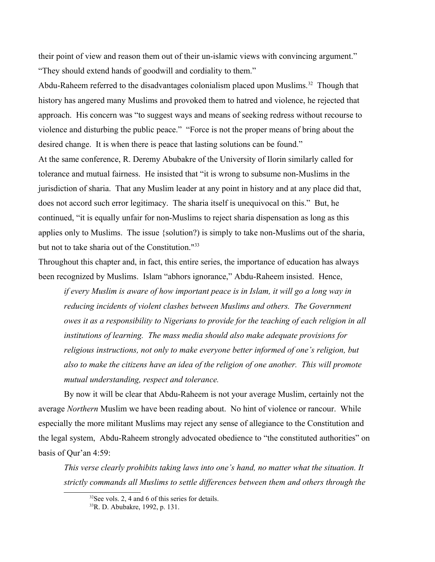their point of view and reason them out of their un-islamic views with convincing argument." "They should extend hands of goodwill and cordiality to them."

Abdu-Raheem referred to the disadvantages colonialism placed upon Muslims.<sup>[32](#page-9-0)</sup> Though that history has angered many Muslims and provoked them to hatred and violence, he rejected that approach. His concern was "to suggest ways and means of seeking redress without recourse to violence and disturbing the public peace." "Force is not the proper means of bring about the desired change. It is when there is peace that lasting solutions can be found." At the same conference, R. Deremy Abubakre of the University of Ilorin similarly called for tolerance and mutual fairness. He insisted that "it is wrong to subsume non-Muslims in the jurisdiction of sharia. That any Muslim leader at any point in history and at any place did that, does not accord such error legitimacy. The sharia itself is unequivocal on this." But, he continued, "it is equally unfair for non-Muslims to reject sharia dispensation as long as this applies only to Muslims. The issue {solution?) is simply to take non-Muslims out of the sharia, but not to take sharia out of the Constitution."<sup>[33](#page-9-1)</sup>

Throughout this chapter and, in fact, this entire series, the importance of education has always been recognized by Muslims. Islam "abhors ignorance," Abdu-Raheem insisted. Hence,

*if every Muslim is aware of how important peace is in Islam, it will go a long way in reducing incidents of violent clashes between Muslims and others. The Government owes it as a responsibility to Nigerians to provide for the teaching of each religion in all institutions of learning. The mass media should also make adequate provisions for religious instructions, not only to make everyone better informed of one's religion, but also to make the citizens have an idea of the religion of one another. This will promote mutual understanding, respect and tolerance.*

By now it will be clear that Abdu-Raheem is not your average Muslim, certainly not the average *Northern* Muslim we have been reading about. No hint of violence or rancour. While especially the more militant Muslims may reject any sense of allegiance to the Constitution and the legal system, Abdu-Raheem strongly advocated obedience to "the constituted authorities" on basis of Qur'an 4:59:

*This verse clearly prohibits taking laws into one's hand, no matter what the situation. It strictly commands all Muslims to settle differences between them and others through the* 

<span id="page-9-1"></span><span id="page-9-0"></span><sup>&</sup>lt;sup>32</sup>See vols. 2, 4 and 6 of this series for details. 33R. D. Abubakre, 1992, p. 131.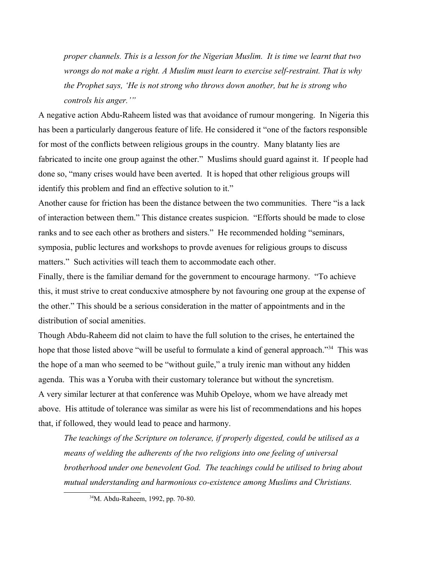*proper channels. This is a lesson for the Nigerian Muslim. It is time we learnt that two wrongs do not make a right. A Muslim must learn to exercise self-restraint. That is why the Prophet says, 'He is not strong who throws down another, but he is strong who controls his anger.'"*

A negative action Abdu-Raheem listed was that avoidance of rumour mongering. In Nigeria this has been a particularly dangerous feature of life. He considered it "one of the factors responsible for most of the conflicts between religious groups in the country. Many blatanty lies are fabricated to incite one group against the other." Muslims should guard against it. If people had done so, "many crises would have been averted. It is hoped that other religious groups will identify this problem and find an effective solution to it."

Another cause for friction has been the distance between the two communities. There "is a lack of interaction between them." This distance creates suspicion. "Efforts should be made to close ranks and to see each other as brothers and sisters." He recommended holding "seminars, symposia, public lectures and workshops to provde avenues for religious groups to discuss matters." Such activities will teach them to accommodate each other.

Finally, there is the familiar demand for the government to encourage harmony. "To achieve this, it must strive to creat conducxive atmosphere by not favouring one group at the expense of the other." This should be a serious consideration in the matter of appointments and in the distribution of social amenities.

Though Abdu-Raheem did not claim to have the full solution to the crises, he entertained the hope that those listed above "will be useful to formulate a kind of general approach."<sup>[34](#page-10-0)</sup> This was the hope of a man who seemed to be "without guile," a truly irenic man without any hidden agenda. This was a Yoruba with their customary tolerance but without the syncretism. A very similar lecturer at that conference was Muhib Opeloye, whom we have already met above. His attitude of tolerance was similar as were his list of recommendations and his hopes that, if followed, they would lead to peace and harmony.

*The teachings of the Scripture on tolerance, if properly digested, could be utilised as a means of welding the adherents of the two religions into one feeling of universal brotherhood under one benevolent God. The teachings could be utilised to bring about mutual understanding and harmonious co-existence among Muslims and Christians.* 

<span id="page-10-0"></span><sup>34</sup>M. Abdu-Raheem, 1992, pp. 70-80.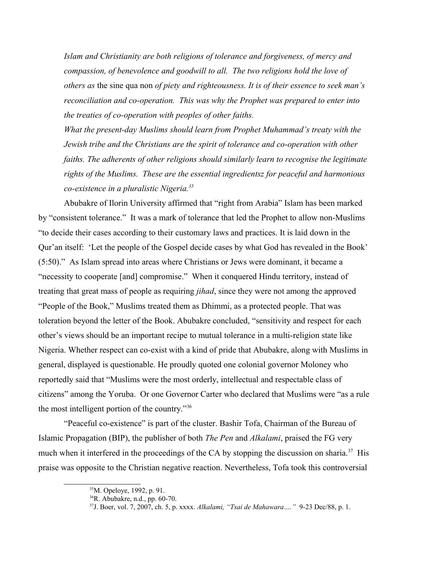*Islam and Christianity are both religions of tolerance and forgiveness, of mercy and compassion, of benevolence and goodwill to all. The two religions hold the love of others as* the sine qua non *of piety and righteousness. It is of their essence to seek man's reconciliation and co-operation. This was why the Prophet was prepared to enter into the treaties of co-operation with peoples of other faiths.*

*What the present-day Muslims should learn from Prophet Muhammad's treaty with the Jewish tribe and the Christians are the spirit of tolerance and co-operation with other faiths. The adherents of other religions should similarly learn to recognise the legitimate rights of the Muslims. These are the essential ingredientsz for peaceful and harmonious co-existence in a pluralistic Nigeria.[35](#page-11-0)* 

Abubakre of Ilorin University affirmed that "right from Arabia" Islam has been marked by "consistent tolerance." It was a mark of tolerance that led the Prophet to allow non-Muslims "to decide their cases according to their customary laws and practices. It is laid down in the Qur'an itself: 'Let the people of the Gospel decide cases by what God has revealed in the Book' (5:50)." As Islam spread into areas where Christians or Jews were dominant, it became a "necessity to cooperate [and] compromise." When it conquered Hindu territory, instead of treating that great mass of people as requiring *jihad*, since they were not among the approved "People of the Book," Muslims treated them as Dhimmi, as a protected people. That was toleration beyond the letter of the Book. Abubakre concluded, "sensitivity and respect for each other's views should be an important recipe to mutual tolerance in a multi-religion state like Nigeria. Whether respect can co-exist with a kind of pride that Abubakre, along with Muslims in general, displayed is questionable. He proudly quoted one colonial governor Moloney who reportedly said that "Muslims were the most orderly, intellectual and respectable class of citizens" among the Yoruba. Or one Governor Carter who declared that Muslims were "as a rule the most intelligent portion of the country."[36](#page-11-1)

"Peaceful co-existence" is part of the cluster. Bashir Tofa, Chairman of the Bureau of Islamic Propagation (BIP), the publisher of both *The Pen* and *Alkalami*, praised the FG very much when it interfered in the proceedings of the CA by stopping the discussion on sharia.<sup>[37](#page-11-2)</sup> His praise was opposite to the Christian negative reaction. Nevertheless, Tofa took this controversial

<span id="page-11-0"></span><sup>35</sup>M. Opeloye, 1992, p. 91.

<span id="page-11-1"></span><sup>36</sup>R. Abubakre, n.d., pp. 60-70.

<span id="page-11-2"></span><sup>37</sup>J. Boer, vol. 7, 2007, ch. 5, p. xxxx. *Alkalami, "Tsai de Mahawara…."* 9-23 Dec/88, p. 1.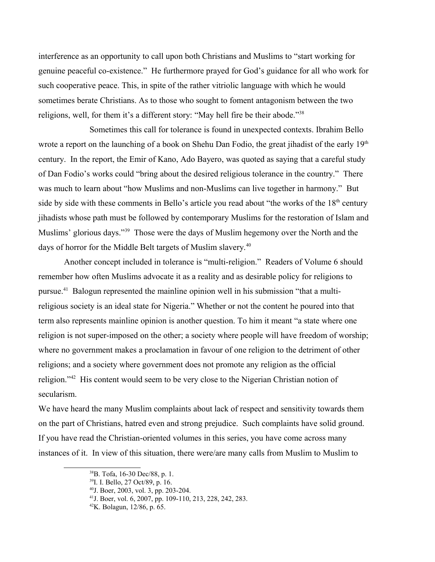interference as an opportunity to call upon both Christians and Muslims to "start working for genuine peaceful co-existence." He furthermore prayed for God's guidance for all who work for such cooperative peace. This, in spite of the rather vitriolic language with which he would sometimes berate Christians. As to those who sought to foment antagonism between the two religions, well, for them it's a different story: "May hell fire be their abode."[38](#page-12-0)

Sometimes this call for tolerance is found in unexpected contexts. Ibrahim Bello wrote a report on the launching of a book on Shehu Dan Fodio, the great jihadist of the early  $19<sup>th</sup>$ century. In the report, the Emir of Kano, Ado Bayero, was quoted as saying that a careful study of Dan Fodio's works could "bring about the desired religious tolerance in the country." There was much to learn about "how Muslims and non-Muslims can live together in harmony." But side by side with these comments in Bello's article you read about "the works of the  $18<sup>th</sup>$  century jihadists whose path must be followed by contemporary Muslims for the restoration of Islam and Muslims' glorious days."[39](#page-12-1) Those were the days of Muslim hegemony over the North and the days of horror for the Middle Belt targets of Muslim slavery.<sup>[40](#page-12-2)</sup>

Another concept included in tolerance is "multi-religion." Readers of Volume 6 should remember how often Muslims advocate it as a reality and as desirable policy for religions to pursue.[41](#page-12-3) Balogun represented the mainline opinion well in his submission "that a multireligious society is an ideal state for Nigeria." Whether or not the content he poured into that term also represents mainline opinion is another question. To him it meant "a state where one religion is not super-imposed on the other; a society where people will have freedom of worship; where no government makes a proclamation in favour of one religion to the detriment of other religions; and a society where government does not promote any religion as the official religion."[42](#page-12-4) His content would seem to be very close to the Nigerian Christian notion of secularism.

We have heard the many Muslim complaints about lack of respect and sensitivity towards them on the part of Christians, hatred even and strong prejudice. Such complaints have solid ground. If you have read the Christian-oriented volumes in this series, you have come across many instances of it. In view of this situation, there were/are many calls from Muslim to Muslim to

<span id="page-12-0"></span><sup>38</sup>B. Tofa, 16-30 Dec/88, p. 1.

<span id="page-12-1"></span><sup>39</sup>I. I. Bello, 27 Oct/89, p. 16.

<span id="page-12-2"></span><sup>40</sup>J. Boer, 2003, vol. 3, pp. 203-204.

<span id="page-12-3"></span><sup>41</sup>J. Boer, vol. 6, 2007, pp. 109-110, 213, 228, 242, 283.

<span id="page-12-4"></span><sup>42</sup>K. Bolagun, 12/86, p. 65.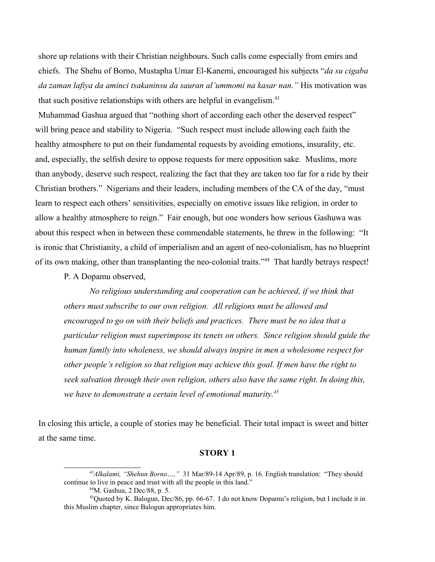shore up relations with their Christian neighbours. Such calls come especially from emirs and chiefs. The Shehu of Borno, Mustapha Umar El-Kanemi, encouraged his subjects "*da su cigaba da zaman lafiya da aminci tsakaninsu da sauran al'ummomi na kasar nan."* His motivation was that such positive relationships with others are helpful in evangelism.<sup>[43](#page-13-0)</sup>

Muhammad Gashua argued that "nothing short of according each other the deserved respect" will bring peace and stability to Nigeria. "Such respect must include allowing each faith the healthy atmosphere to put on their fundamental requests by avoiding emotions, insurality, etc. and, especially, the selfish desire to oppose requests for mere opposition sake. Muslims, more than anybody, deserve such respect, realizing the fact that they are taken too far for a ride by their Christian brothers." Nigerians and their leaders, including members of the CA of the day, "must learn to respect each others' sensitivities, especially on emotive issues like religion, in order to allow a healthy atmosphere to reign." Fair enough, but one wonders how serious Gashuwa was about this respect when in between these commendable statements, he threw in the following: "It is ironic that Christianity, a child of imperialism and an agent of neo-colonialism, has no blueprint of its own making, other than transplanting the neo-colonial traits."[44](#page-13-1) That hardly betrays respect!

P. A Dopamu observed,

*No religious understanding and cooperation can be achieved, if we think that others must subscribe to our own religion. All religions must be allowed and encouraged to go on with their beliefs and practices. There must be no idea that a particular religion must superimpose its tenets on others. Since religion should guide the human family into wholeness, we should always inspire in men a wholesome respect for other people's religion so that religion may achieve this goal. If men have the right to seek salvation through their own religion, others also have the same right. In doing this, we have to demonstrate a certain level of emotional maturity.[45](#page-13-2)*

In closing this article, a couple of stories may be beneficial. Their total impact is sweet and bitter at the same time.

## **STORY 1**

<sup>43</sup>*Alkalami, "Shehun Borno…,"* 31 Mar/89-14 Apr/89, p. 16. English translation: "They should continue to live in peace and trust with all the people in this land."

<span id="page-13-2"></span><span id="page-13-1"></span><span id="page-13-0"></span><sup>44</sup>M. Gashua, 2 Dec/88, p. 5.

<sup>45</sup>Quoted by K. Balogun, Dec/86, pp. 66-67. I do not know Dopamu's religion, but I include it in this Muslim chapter, since Balogun appropriates him.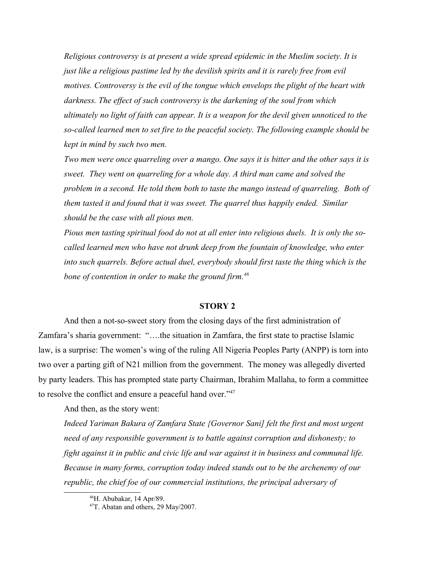*Religious controversy is at present a wide spread epidemic in the Muslim society. It is just like a religious pastime led by the devilish spirits and it is rarely free from evil motives. Controversy is the evil of the tongue which envelops the plight of the heart with darkness. The effect of such controversy is the darkening of the soul from which ultimately no light of faith can appear. It is a weapon for the devil given unnoticed to the so-called learned men to set fire to the peaceful society. The following example should be kept in mind by such two men.* 

*Two men were once quarreling over a mango. One says it is bitter and the other says it is sweet. They went on quarreling for a whole day. A third man came and solved the problem in a second. He told them both to taste the mango instead of quarreling. Both of them tasted it and found that it was sweet. The quarrel thus happily ended. Similar should be the case with all pious men.*

*Pious men tasting spiritual food do not at all enter into religious duels. It is only the socalled learned men who have not drunk deep from the fountain of knowledge, who enter into such quarrels. Before actual duel, everybody should first taste the thing which is the bone of contention in order to make the ground firm.[46](#page-14-0)*

## **STORY 2**

And then a not-so-sweet story from the closing days of the first administration of Zamfara's sharia government: "….the situation in Zamfara, the first state to practise Islamic law, is a surprise: The women's wing of the ruling All Nigeria Peoples Party (ANPP) is torn into two over a parting gift of N21 million from the government. The money was allegedly diverted by party leaders. This has prompted state party Chairman, Ibrahim Mallaha, to form a committee to resolve the conflict and ensure a peaceful hand over."<sup>[47](#page-14-1)</sup>

And then, as the story went:

*Indeed Yariman Bakura of Zamfara State {Governor Sani] felt the first and most urgent need of any responsible government is to battle against corruption and dishonesty; to fight against it in public and civic life and war against it in business and communal life. Because in many forms, corruption today indeed stands out to be the archenemy of our republic, the chief foe of our commercial institutions, the principal adversary of* 

<span id="page-14-0"></span><sup>46</sup>H. Abubakar, 14 Apr/89.

<span id="page-14-1"></span><sup>&</sup>lt;sup>47</sup>T. Abatan and others, 29 May/2007.